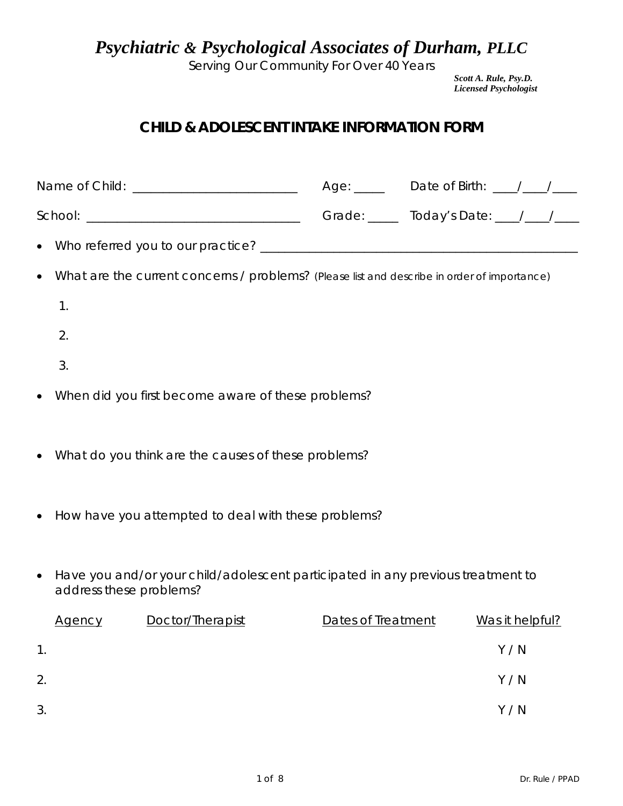*Psychiatric & Psychological Associates of Durham, PLLC*

Serving Our Community For Over 40 Years

*Scott A. Rule, Psy.D. Licensed Psychologist*

## *CHILD & ADOLESCENT INTAKE INFORMATION FORM*

|           |                         |                                                                                             |                    | Age: _____ Date of Birth: ___/__/___ |                 |  |
|-----------|-------------------------|---------------------------------------------------------------------------------------------|--------------------|--------------------------------------|-----------------|--|
|           |                         |                                                                                             |                    |                                      |                 |  |
|           |                         |                                                                                             |                    |                                      |                 |  |
|           |                         | What are the current concerns / problems? (Please list and describe in order of importance) |                    |                                      |                 |  |
|           | 1.                      |                                                                                             |                    |                                      |                 |  |
|           | 2.                      |                                                                                             |                    |                                      |                 |  |
|           | 3.                      |                                                                                             |                    |                                      |                 |  |
|           |                         | When did you first become aware of these problems?                                          |                    |                                      |                 |  |
|           |                         | What do you think are the causes of these problems?                                         |                    |                                      |                 |  |
|           |                         | How have you attempted to deal with these problems?                                         |                    |                                      |                 |  |
| $\bullet$ | address these problems? | Have you and/or your child/adolescent participated in any previous treatment to             |                    |                                      |                 |  |
|           | <b>Agency</b>           | Doctor/Therapist                                                                            | Dates of Treatment |                                      | Was it helpful? |  |
| 1.        |                         |                                                                                             |                    |                                      | Y/N             |  |
| 2.        |                         |                                                                                             |                    |                                      | Y / N           |  |
| 3.        |                         |                                                                                             |                    |                                      | Y / N           |  |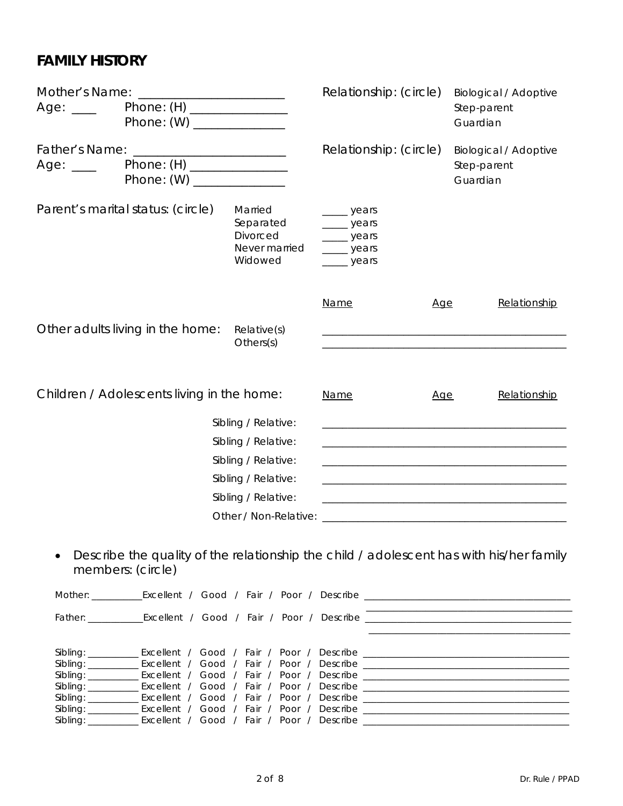# *FAMILY HISTORY*

| Mother's Name:<br>Age: $\_\_$                                                        | <u> 1980 - Jan Samuel Barbara, político establecido e a la contrada de la contrada de la contrada de la contrada</u><br>Phone: (H) _______________<br>Phone: (W) _______________ |                                                              | Relationship: (circle)                                                                                         | <b>Biological / Adoptive</b><br>Step-parent<br>Guardian |                                                                                                                      |  |
|--------------------------------------------------------------------------------------|----------------------------------------------------------------------------------------------------------------------------------------------------------------------------------|--------------------------------------------------------------|----------------------------------------------------------------------------------------------------------------|---------------------------------------------------------|----------------------------------------------------------------------------------------------------------------------|--|
| Phone: (H) _______________<br>Age: $\rule{1em}{0.15mm}$<br>Phone: (W) ______________ |                                                                                                                                                                                  |                                                              | Relationship: (circle)                                                                                         |                                                         | <b>Biological / Adoptive</b><br>Step-parent<br>Guardian                                                              |  |
|                                                                                      | Parent's marital status: (circle)                                                                                                                                                | Married<br>Separated<br>Divorced<br>Never married<br>Widowed | <u>_</u> ___ years<br>__ years<br>_____ years<br>___ years<br>_____ years                                      |                                                         |                                                                                                                      |  |
|                                                                                      |                                                                                                                                                                                  |                                                              | <b>Name</b>                                                                                                    | Age                                                     | Relationship                                                                                                         |  |
|                                                                                      | Other adults living in the home:                                                                                                                                                 | Relative(s)<br>Others(s)                                     |                                                                                                                |                                                         |                                                                                                                      |  |
|                                                                                      | Children / Adolescents living in the home:                                                                                                                                       |                                                              | Name                                                                                                           | Age                                                     | Relationship                                                                                                         |  |
|                                                                                      |                                                                                                                                                                                  | Sibling / Relative:                                          |                                                                                                                |                                                         | <u> 1980 - Johann Stein, marwolaethau a bhann an t-Amhain an t-Amhain an t-Amhain an t-Amhain an t-Amhain an t-A</u> |  |
|                                                                                      |                                                                                                                                                                                  | Sibling / Relative:                                          |                                                                                                                |                                                         |                                                                                                                      |  |
|                                                                                      |                                                                                                                                                                                  | Sibling / Relative:                                          | the control of the control of the control of the control of the control of the control of                      |                                                         |                                                                                                                      |  |
|                                                                                      |                                                                                                                                                                                  | Sibling / Relative:                                          |                                                                                                                |                                                         |                                                                                                                      |  |
|                                                                                      |                                                                                                                                                                                  | Sibling / Relative:                                          | <u> 1980 - Jan James James Barbara, martin da basar da basar da basar da basar</u>                             |                                                         |                                                                                                                      |  |
|                                                                                      |                                                                                                                                                                                  |                                                              | Other / Non-Relative: Letter and the state of the state of the state of the state of the state of the state of |                                                         |                                                                                                                      |  |
|                                                                                      | members: (circle)                                                                                                                                                                |                                                              |                                                                                                                |                                                         | Describe the quality of the relationship the child / adolescent has with his/her family                              |  |

|  |  |  |  | Sibling: ______________Excellent / Good / Fair / Poor / Describe ___________________________________ |
|--|--|--|--|------------------------------------------------------------------------------------------------------|
|  |  |  |  |                                                                                                      |
|  |  |  |  | Sibling: ______________Excellent / Good / Fair / Poor / Describe ___________________________________ |
|  |  |  |  | Sibling: _____________ Excellent / Good / Fair / Poor / Describe ___________________________________ |
|  |  |  |  | Sibling: _____________ Excellent / Good / Fair / Poor / Describe ___________________________________ |
|  |  |  |  |                                                                                                      |
|  |  |  |  |                                                                                                      |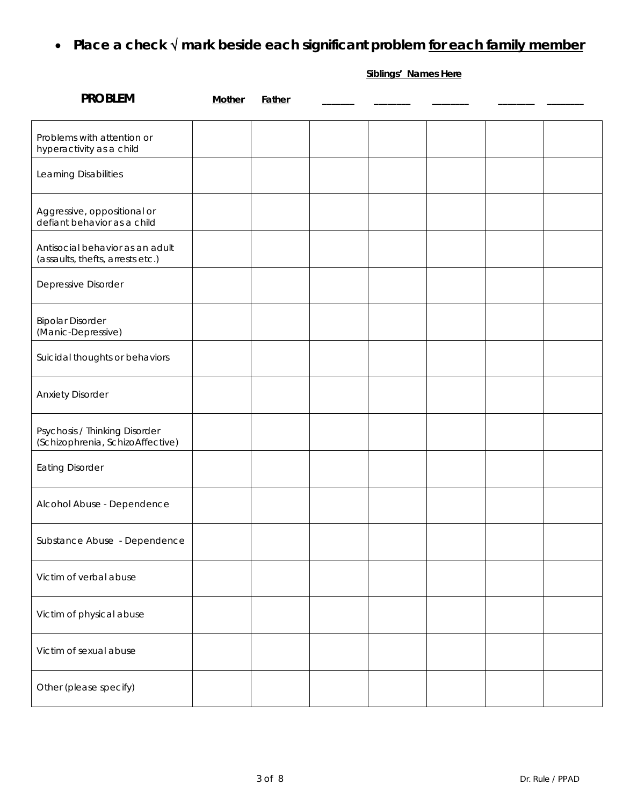• **Place a check** √ **mark beside each significant problem for each family member**

**Siblings' Names Here**

| <b>PROBLEM</b>                                                      | <b>Mother</b> | Father |  |  |  |
|---------------------------------------------------------------------|---------------|--------|--|--|--|
| Problems with attention or<br>hyperactivity as a child              |               |        |  |  |  |
| Learning Disabilities                                               |               |        |  |  |  |
| Aggressive, oppositional or<br>defiant behavior as a child          |               |        |  |  |  |
| Antisocial behavior as an adult<br>(assaults, thefts, arrests etc.) |               |        |  |  |  |
| Depressive Disorder                                                 |               |        |  |  |  |
| <b>Bipolar Disorder</b><br>(Manic-Depressive)                       |               |        |  |  |  |
| Suicidal thoughts or behaviors                                      |               |        |  |  |  |
| <b>Anxiety Disorder</b>                                             |               |        |  |  |  |
| Psychosis / Thinking Disorder<br>(Schizophrenia, SchizoAffective)   |               |        |  |  |  |
| <b>Eating Disorder</b>                                              |               |        |  |  |  |
| Alcohol Abuse - Dependence                                          |               |        |  |  |  |
| Substance Abuse - Dependence                                        |               |        |  |  |  |
| Victim of verbal abuse                                              |               |        |  |  |  |
| Victim of physical abuse                                            |               |        |  |  |  |
| Victim of sexual abuse                                              |               |        |  |  |  |
| Other (please specify)                                              |               |        |  |  |  |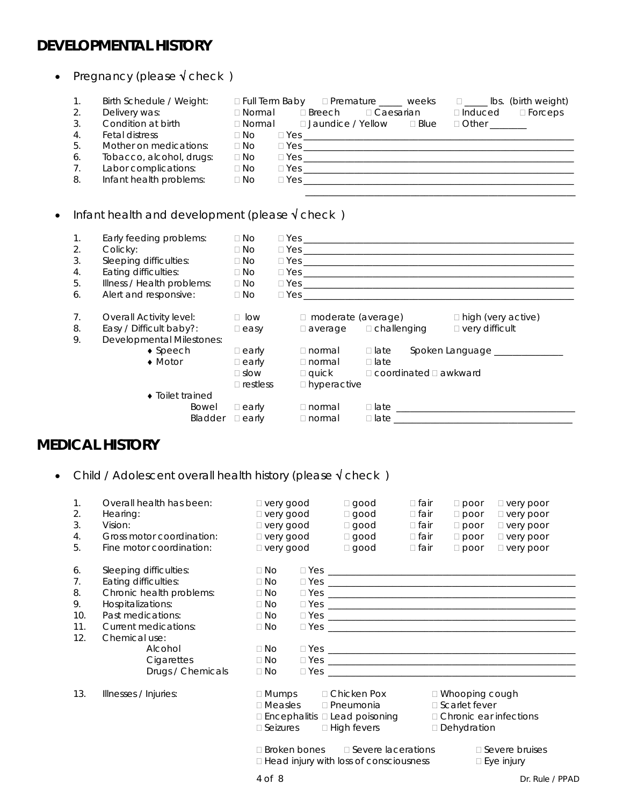## *DEVELOPMENTAL HISTORY*

| $\bullet$ |                                                                        | Pregnancy (please $\sqrt{\text{check}}$ )                                                                                                                                                         |                                                                            |                                                                                                                                                                                                                                         |
|-----------|------------------------------------------------------------------------|---------------------------------------------------------------------------------------------------------------------------------------------------------------------------------------------------|----------------------------------------------------------------------------|-----------------------------------------------------------------------------------------------------------------------------------------------------------------------------------------------------------------------------------------|
|           | 1.<br>2.<br>3.<br>$\overline{4}$ .<br>5.<br>6.<br>7 <sub>1</sub><br>8. | Birth Schedule / Weight:<br>Delivery was:<br>Condition at birth<br><b>Fetal distress</b><br>Mother on medications:<br>Tobacco, alcohol, drugs:<br>Labor complications:<br>Infant health problems: | $\Box$ No<br>$\Box$ No<br>$\Box$ No<br>$\Box$ No<br>$\Box$ No              | $\Box$ Full Term Baby $\Box$ Premature _____ weeks $\Box$ ____ lbs. (birth weight)<br>□ Normal □ Breech □ Caesarian □ Induced □ Forceps<br>□ Normal □ Jaundice / Yellow □ Blue □ Other ______<br>$\Box$ Yes $\Box$<br>$\Box$ Yes $\Box$ |
| $\bullet$ |                                                                        | Infant health and development (please $\sqrt{\text{check}}$ )                                                                                                                                     |                                                                            |                                                                                                                                                                                                                                         |
|           | $\mathbf{1}$ .<br>2.<br>3.<br>4.<br>5.<br>6.                           | Early feeding problems:<br>Colicky:<br>Sleeping difficulties:<br>Eating difficulties:<br>Illness / Health problems:<br>Alert and responsive:                                                      | $\Box$ No<br>$\Box$ No<br>$\Box$ No<br>$\Box$ No<br>$\Box$ No<br>$\Box$ No | $\Box$ Yes $\Box$<br>$\Box$ Yes $\Box$<br>$\Box$ Yes $\Box$<br>$\Box$ Yes $\Box$                                                                                                                                                        |
|           | $7_{\cdot}$<br>8.                                                      | <b>Overall Activity level:</b><br>Easy / Difficult baby?:                                                                                                                                         | $\Box$ easy                                                                | □ low □ moderate (average)<br>$\Box$ high (very active)<br>□ very difficult<br>$\Box$ average $\Box$ challenging                                                                                                                        |

9. Develo

| ll Activity level:<br>Difficult baby?:<br>opmental Milestones: |                  | $\Box$ low<br>$\square$ easy                                   | □ moderate (average)<br>$\Box$ average                                     | $\Box$ challenging         |                                   | $\Box$ high (very active)<br>$\Box$ very difficult |
|----------------------------------------------------------------|------------------|----------------------------------------------------------------|----------------------------------------------------------------------------|----------------------------|-----------------------------------|----------------------------------------------------|
| $\bullet$ Speech<br>$\bullet$ Motor                            |                  | $\Box$ early<br>$\Box$ early<br>$\Box$ slow<br>$\Box$ restless | $\Box$ normal<br>$\Box$ normal<br>$\square$ quick<br>$\square$ hyperactive | $\Box$ late<br>$\Box$ late | $\Box$ coordinated $\Box$ awkward | Spoken Language                                    |
| $\bullet$ Toilet trained                                       | Bowel<br>Bladder | $\Box$ early<br>$\Box$ early                                   | $\Box$ normal<br>∃ normal                                                  | $\Box$ late<br>$\Box$ late |                                   |                                                    |

# *MEDICAL HISTORY*

• Child / Adolescent overall health history (please √ check )

| 1.<br>2.<br>3.<br>4.<br>5.                | Overall health has been:<br>Hearing:<br>Vision:<br>Gross motor coordination:<br>Fine motor coordination:                                                                                                           | □ very good<br>□ very good<br>□ very good<br>□ very good<br>□ very good                                           | $\Box$ good<br>$\Box$ good<br>$\Box$ good<br>$\Box$ good<br>$\Box$ good                                                                            | $\Box$ fair<br>$\Box$ fair<br>$\Box$ fair<br>$\Box$ fair<br>$\Box$ fair | $\Box$ poor<br>$\Box$ poor<br>$\Box$ poor<br>$\Box$ poor<br>$\Box$ poor | $\Box$ very poor<br>$\Box$ very poor<br>$\Box$ very poor<br>□ very poor<br>□ very poor                |
|-------------------------------------------|--------------------------------------------------------------------------------------------------------------------------------------------------------------------------------------------------------------------|-------------------------------------------------------------------------------------------------------------------|----------------------------------------------------------------------------------------------------------------------------------------------------|-------------------------------------------------------------------------|-------------------------------------------------------------------------|-------------------------------------------------------------------------------------------------------|
| 6.<br>7.<br>8.<br>9.<br>10.<br>11.<br>12. | Sleeping difficulties:<br>Eating difficulties:<br>Chronic health problems:<br>Hospitalizations:<br>Past medications:<br><b>Current medications:</b><br>Chemical use:<br>Alcohol<br>Cigarettes<br>Drugs / Chemicals | $\Box$ No<br>$\Box$ No<br>$\Box$ No<br>$\Box$ No<br>$\Box$ No<br>$\Box$ No<br>$\Box$ No<br>$\Box$ No<br>$\Box$ No | $\Box \text{Yes} \_\_\_\_\_\_$                                                                                                                     |                                                                         |                                                                         | $\Box$ Yes $\Box$<br>$\Box$ Yes $\Box$<br>$\Box$ Yes $\Box$<br>$\Box$ Yes $\Box$<br>$\Box$ Yes $\Box$ |
| 13.                                       | Illnesses / Injuries:                                                                                                                                                                                              | $\Box$ Mumps $\Box$ Chicken Pox<br>$\Box$ Measles $\Box$ Pneumonia<br>$\square$ Seizures<br>$4$ of $8$            | □ Encephalitis □ Lead poisoning<br>$\Box$ High fevers<br>$\Box$ Broken bones $\Box$ Severe lacerations<br>□ Head injury with loss of consciousness |                                                                         | □ Whooping cough<br>□ Scarlet fever<br>Dehydration                      | □ Chronic ear infections<br>□ Severe bruises<br>$\square$ Eye injury<br>Dr. Rule / PPAD               |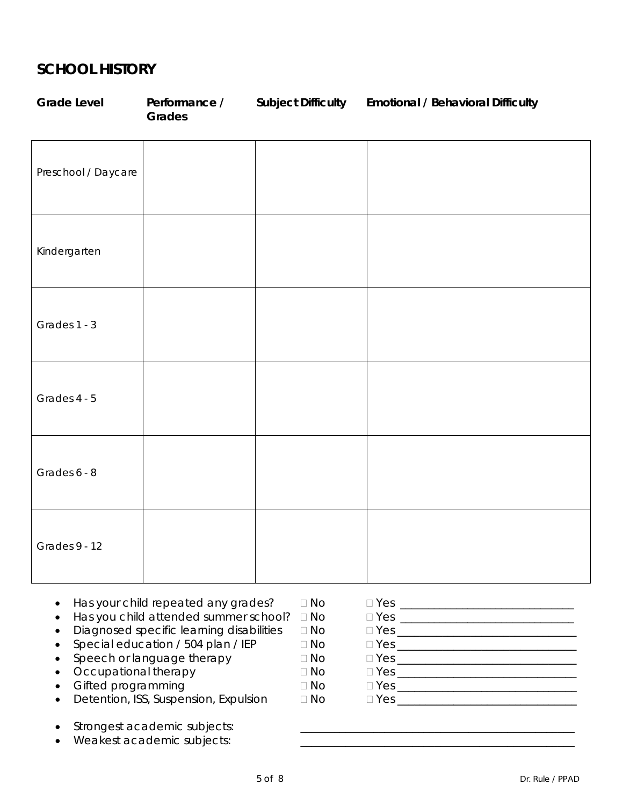### *SCHOOL HISTORY*

| <b>Grade Level</b>  | Performance /<br>Grades | Subject Difficulty Emotional / Behavioral Difficulty |
|---------------------|-------------------------|------------------------------------------------------|
| Preschool / Daycare |                         |                                                      |
| Kindergarten        |                         |                                                      |
| Grades 1 - 3        |                         |                                                      |
| Grades 4 - 5        |                         |                                                      |
| Grades 6 - 8        |                         |                                                      |
| Grades 9 - 12       |                         |                                                      |

- Has your child repeated any grades? No Yes \_\_\_\_\_\_\_\_\_\_\_\_\_\_\_\_\_\_\_\_\_\_\_\_\_\_\_\_\_\_\_
- Has you child attended summer school? No Yes \_\_\_\_\_\_\_\_\_\_\_\_\_\_\_\_\_\_\_\_\_\_\_\_\_\_\_\_\_\_\_
- Diagnosed specific learning disabilities No Yes \_\_\_\_\_\_\_\_\_\_\_\_\_\_\_\_\_\_\_\_\_\_\_\_\_\_\_\_\_\_\_\_
- $\begin{array}{ll}\n\text{Special education / 504 plan / IEP} \\
\text{Speed} & \Box \text{No} \\
\hline\n\end{array} \qquad \begin{array}{ll}\n\Box \text{No} \\
\Box \text{Yes} \underline{\hspace{1cm}} \\
\hline\n\end{array} \qquad \begin{array}{ll}\n\Box \text{Yes} \underline{\hspace{1cm}} \\
\hline\n\end{array} \qquad \begin{array}{ll}\n\Box \text{Yes} \underline{\hspace{1cm}} \\
\hline\n\end{array} \qquad \begin{array}{ll}\n\Box \text{Yes} \underline{\hspace{1cm}} \\
\hline\n\end{array} \qquad \begin{array}{ll}\n\Box \text{Yes$
- 
- Occupational therapy No Yes \_\_\_\_\_\_\_\_\_\_\_\_\_\_\_\_\_\_\_\_\_\_\_\_\_\_\_\_\_\_\_\_
- Gifted programming No Yes \_\_\_\_\_\_\_\_\_\_\_\_\_\_\_\_\_\_\_\_\_\_\_\_\_\_\_\_\_\_\_\_
- Detention, ISS, Suspension, Expulsion  $\Box$  No  $\Box$  Yes \_\_\_\_\_\_\_\_\_\_\_\_\_\_\_\_\_\_\_\_\_\_\_\_\_\_
- Strongest academic subjects:
- Weakest academic subjects:
- 
- 
- 
- Speech or language therapy No Yes \_\_\_\_\_\_\_\_\_\_\_\_\_\_\_\_\_\_\_\_\_\_\_\_\_\_\_\_\_\_\_\_
	- -
	-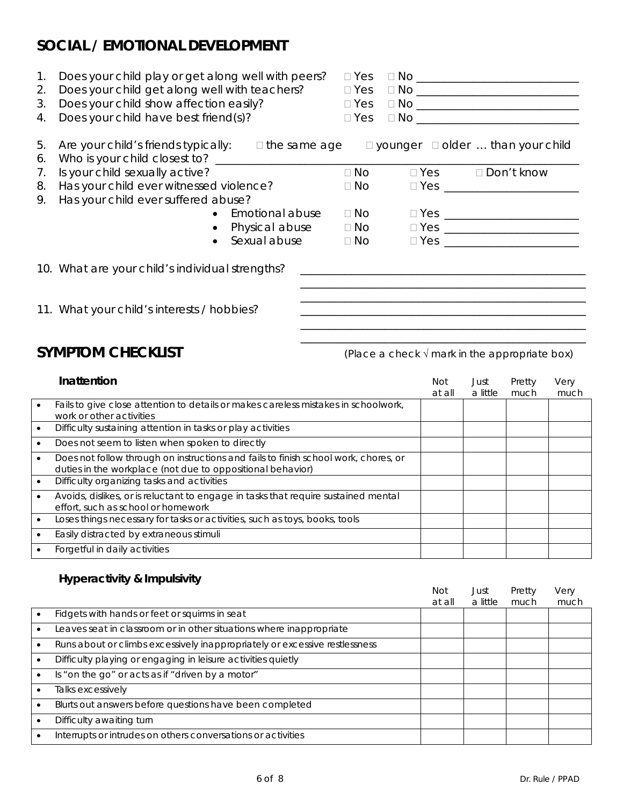# *SOCIAL / EMOTIONAL DEVELOPMENT*

- 1. Does your child play or get along well with peers? Yes No \_\_\_\_\_\_\_\_\_\_\_\_\_\_\_\_\_\_\_\_\_\_\_\_\_\_\_\_\_
- 2. Does your child get along well with teachers? Yes No \_\_\_\_\_\_\_\_\_\_\_\_\_\_\_\_\_\_\_\_\_\_\_\_\_\_\_\_\_
- 3. Does your child show affection easily? Yes No \_\_\_\_\_\_\_\_\_\_\_\_\_\_\_\_\_\_\_\_\_\_\_\_\_\_\_\_\_
- 4. Does your child have best friend(s)? Yes No \_\_\_\_\_\_\_\_\_\_\_\_\_\_\_\_\_\_\_\_\_\_\_\_\_\_\_\_\_
- 5. Are your child's friends typically:  $\Box$  the same age  $\Box$  younger  $\Box$  older  $\ldots$  than your child 6. Who is your child closest to? \_\_\_\_\_\_\_\_\_\_\_\_\_\_\_\_\_\_\_\_\_\_\_\_\_\_\_\_\_\_\_\_\_\_\_\_\_\_\_\_\_\_\_\_\_\_\_\_\_\_\_\_\_\_\_\_\_\_\_\_\_\_\_\_\_
	- 7. Is your child sexually active?  $\Box$  No  $\Box$  Yes  $\Box$  Don't know
- 8. Has your child ever witnessed violence? No Yes \_\_\_\_\_\_\_\_\_\_\_\_\_\_\_\_\_\_\_\_\_\_\_\_
- 9. Has your child ever suffered abuse?
	- Emotional abuse No Yes \_\_\_\_\_\_\_\_\_\_\_\_\_\_\_\_\_\_\_\_\_\_\_\_
	- Physical abuse  $\Box$  No  $\Box$  Yes  $\Box$ • Sexual abuse  $\Box$  No  $\Box$  Yes
	-
- 10. What are your child's individual strengths?
- 11. What your child's interests / hobbies?

**SYMPTOM CHECKLIST** *(Place a check* √ mark in the appropriate box)

\_\_\_\_\_\_\_\_\_\_\_\_\_\_\_\_\_\_\_\_\_\_\_\_\_\_\_\_\_\_\_\_\_\_\_\_\_\_\_\_\_\_\_\_\_\_\_\_\_\_\_ \_\_\_\_\_\_\_\_\_\_\_\_\_\_\_\_\_\_\_\_\_\_\_\_\_\_\_\_\_\_\_\_\_\_\_\_\_\_\_\_\_\_\_\_\_\_\_\_\_\_\_

| Inattention                                                                                                                                       | <b>Not</b> | Just     | Pretty | Very |
|---------------------------------------------------------------------------------------------------------------------------------------------------|------------|----------|--------|------|
|                                                                                                                                                   | at all     | a little | much   | much |
| Fails to give close attention to details or makes careless mistakes in schoolwork,<br>work or other activities                                    |            |          |        |      |
| Difficulty sustaining attention in tasks or play activities                                                                                       |            |          |        |      |
| Does not seem to listen when spoken to directly                                                                                                   |            |          |        |      |
| Does not follow through on instructions and fails to finish school work, chores, or<br>duties in the workplace (not due to oppositional behavior) |            |          |        |      |
| Difficulty organizing tasks and activities                                                                                                        |            |          |        |      |
| Avoids, dislikes, or is reluctant to engage in tasks that require sustained mental<br>effort, such as school or homework                          |            |          |        |      |
| Loses things necessary for tasks or activities, such as toys, books, tools                                                                        |            |          |        |      |
| Easily distracted by extraneous stimuli                                                                                                           |            |          |        |      |
| Forgetful in daily activities                                                                                                                     |            |          |        |      |

### *Hyperactivity & Impulsivity*

|                                                                            | <b>Not</b><br>at all | Just<br>a little | Pretty<br>much | Very<br>much |
|----------------------------------------------------------------------------|----------------------|------------------|----------------|--------------|
| Fidgets with hands or feet or squirms in seat                              |                      |                  |                |              |
| Leaves seat in classroom or in other situations where inappropriate        |                      |                  |                |              |
| Runs about or climbs excessively inappropriately or excessive restlessness |                      |                  |                |              |
| Difficulty playing or engaging in leisure activities quietly               |                      |                  |                |              |
| Is "on the go" or acts as if "driven by a motor"                           |                      |                  |                |              |
| Talks excessively                                                          |                      |                  |                |              |
| Blurts out answers before questions have been completed                    |                      |                  |                |              |
| Difficulty awaiting turn                                                   |                      |                  |                |              |
| Interrupts or intrudes on others conversations or activities               |                      |                  |                |              |

- 
- -
	-